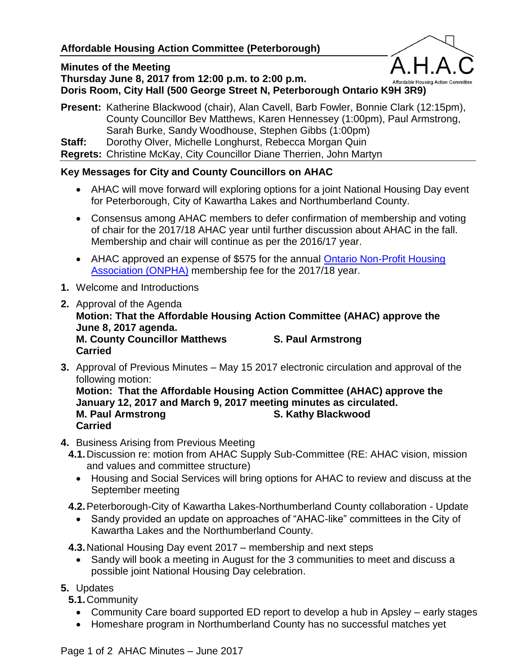### **Minutes of the Meeting**

**Thursday June 8, 2017 from 12:00 p.m. to 2:00 p.m. Doris Room, City Hall (500 George Street N, Peterborough Ontario K9H 3R9)**



#### **Present:** Katherine Blackwood (chair), Alan Cavell, Barb Fowler, Bonnie Clark (12:15pm), County Councillor Bev Matthews, Karen Hennessey (1:00pm), Paul Armstrong, Sarah Burke, Sandy Woodhouse, Stephen Gibbs (1:00pm) **Staff:** Dorothy Olver, Michelle Longhurst, Rebecca Morgan Quin

**Regrets:** Christine McKay, City Councillor Diane Therrien, John Martyn

### **Key Messages for City and County Councillors on AHAC**

- AHAC will move forward will exploring options for a joint National Housing Day event for Peterborough, City of Kawartha Lakes and Northumberland County.
- Consensus among AHAC members to defer confirmation of membership and voting of chair for the 2017/18 AHAC year until further discussion about AHAC in the fall. Membership and chair will continue as per the 2016/17 year.
- AHAC approved an expense of \$575 for the annual **Ontario Non-Profit Housing** [Association \(ONPHA\)](https://www.onpha.on.ca/) membership fee for the 2017/18 year.
- **1.** Welcome and Introductions
- **2.** Approval of the Agenda **Motion: That the Affordable Housing Action Committee (AHAC) approve the June 8, 2017 agenda. M. County Councillor Matthews S. Paul Armstrong Carried**
- **3.** Approval of Previous Minutes May 15 2017 electronic circulation and approval of the following motion:

**Motion: That the Affordable Housing Action Committee (AHAC) approve the January 12, 2017 and March 9, 2017 meeting minutes as circulated. M. Paul Armstrong S. Kathy Blackwood Carried**

- **4.** Business Arising from Previous Meeting
	- **4.1.**Discussion re: motion from AHAC Supply Sub-Committee (RE: AHAC vision, mission and values and committee structure)
		- Housing and Social Services will bring options for AHAC to review and discuss at the September meeting
	- **4.2.**Peterborough-City of Kawartha Lakes-Northumberland County collaboration Update
		- Sandy provided an update on approaches of "AHAC-like" committees in the City of Kawartha Lakes and the Northumberland County.
	- **4.3.**National Housing Day event 2017 membership and next steps
		- Sandy will book a meeting in August for the 3 communities to meet and discuss a possible joint National Housing Day celebration.

### **5.** Updates

**5.1.**Community

- Community Care board supported ED report to develop a hub in Apsley early stages
- Homeshare program in Northumberland County has no successful matches yet